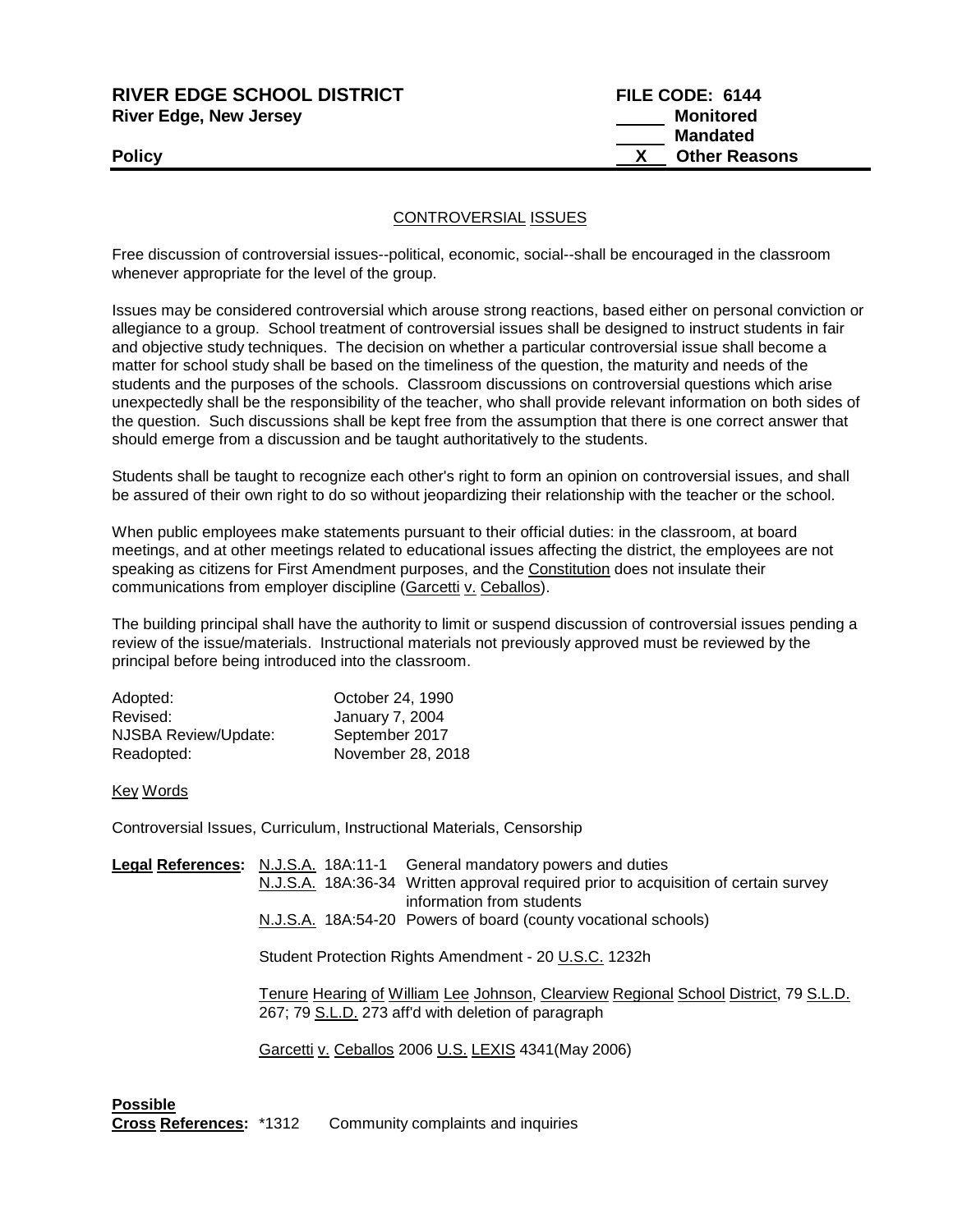| <b>RIVER EDGE SCHOOL DISTRICT</b> | FILE CODE: 6144      |
|-----------------------------------|----------------------|
| <b>River Edge, New Jersey</b>     | Monitored            |
|                                   | Mandated             |
| <b>Policy</b>                     | <b>Other Reasons</b> |
|                                   |                      |

## CONTROVERSIAL ISSUES

Free discussion of controversial issues--political, economic, social--shall be encouraged in the classroom whenever appropriate for the level of the group.

Issues may be considered controversial which arouse strong reactions, based either on personal conviction or allegiance to a group. School treatment of controversial issues shall be designed to instruct students in fair and objective study techniques. The decision on whether a particular controversial issue shall become a matter for school study shall be based on the timeliness of the question, the maturity and needs of the students and the purposes of the schools. Classroom discussions on controversial questions which arise unexpectedly shall be the responsibility of the teacher, who shall provide relevant information on both sides of the question. Such discussions shall be kept free from the assumption that there is one correct answer that should emerge from a discussion and be taught authoritatively to the students.

Students shall be taught to recognize each other's right to form an opinion on controversial issues, and shall be assured of their own right to do so without jeopardizing their relationship with the teacher or the school.

When public employees make statements pursuant to their official duties: in the classroom, at board meetings, and at other meetings related to educational issues affecting the district, the employees are not speaking as citizens for First Amendment purposes, and the Constitution does not insulate their communications from employer discipline (Garcetti v. Ceballos).

The building principal shall have the authority to limit or suspend discussion of controversial issues pending a review of the issue/materials. Instructional materials not previously approved must be reviewed by the principal before being introduced into the classroom.

| October 24, 1990       |
|------------------------|
| <b>January 7, 2004</b> |
| September 2017         |
| November 28, 2018      |
|                        |

Key Words

Controversial Issues, Curriculum, Instructional Materials, Censorship

| Legal References: N.J.S.A. 18A:11-1 General mandatory powers and duties                                                                     |
|---------------------------------------------------------------------------------------------------------------------------------------------|
| N.J.S.A. 18A:36-34 Written approval required prior to acquisition of certain survey<br>information from students                            |
| N.J.S.A. 18A:54-20 Powers of board (county vocational schools)                                                                              |
| Student Protection Rights Amendment - 20 U.S.C. 1232h                                                                                       |
| Tenure Hearing of William Lee Johnson, Clearview Regional School District, 79 S.L.D.<br>267; 79 S.L.D. 273 aff'd with deletion of paragraph |
| Garcetti v. Ceballos 2006 U.S. LEXIS 4341 (May 2006)                                                                                        |